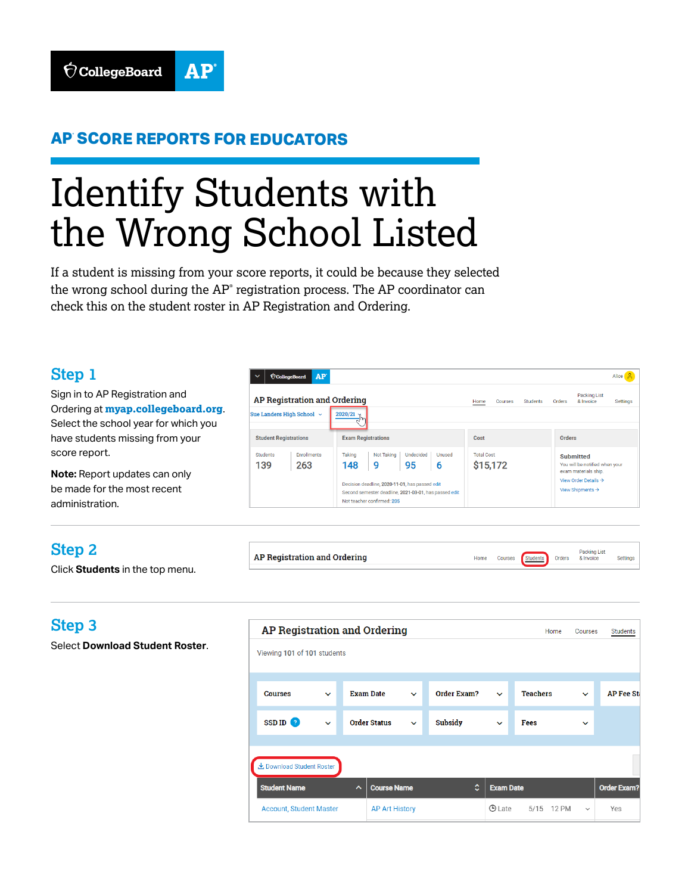## **AP® SCORE REPORTS FOR EDUCATORS**

# Identify Students with the Wrong School Listed

If a student is missing from your score reports, it could be because they selected the wrong school during the  $AP<sup>°</sup>$  registration process. The  $AP$  coordinator can check this on the student roster in AP Registration and Ordering.

**AP Registration and Ordering** 

### **Step 1**

Sign in to AP Registration and Ordering at **[myap.collegeboard.org](http://myap.collegeboard.org)**. Select the school year for which you have students missing from your score report.

**Note:** Report updates can only be made for the most recent administration.

| $\check{ }$                  | AP <sup>®</sup><br><b>CollegeBoard</b> |                                                                                                                                       |                                       |                               |         |                 |                                                                  |                                                                     | Alice    |  |
|------------------------------|----------------------------------------|---------------------------------------------------------------------------------------------------------------------------------------|---------------------------------------|-------------------------------|---------|-----------------|------------------------------------------------------------------|---------------------------------------------------------------------|----------|--|
|                              | AP Registration and Ordering           |                                                                                                                                       |                                       | Home                          | Courses | <b>Students</b> | Orders                                                           | Packing List<br>& Invoice                                           | Settings |  |
|                              | Sue Landers High School ~              | 2020/21                                                                                                                               |                                       |                               |         |                 |                                                                  |                                                                     |          |  |
| <b>Student Registrations</b> |                                        | <b>Exam Registrations</b>                                                                                                             | Cost                                  |                               |         |                 | <b>Orders</b>                                                    |                                                                     |          |  |
| <b>Students</b><br>139       | <b>Enrollments</b><br>263              | Not Taking<br>Taking<br>148<br>9                                                                                                      | <b>Undecided</b><br>Unused<br>95<br>6 | <b>Total Cost</b><br>\$15,172 |         |                 |                                                                  | Submitted<br>You will be notified when your<br>exam materials ship. |          |  |
|                              |                                        | Decision deadline, 2020-11-01, has passed edit<br>Second semester deadline, 2021-03-01, has passed edit<br>Not teacher confirmed: 205 |                                       |                               |         |                 | View Order Details $\rightarrow$<br>View Shipments $\rightarrow$ |                                                                     |          |  |

Home

Courses Students Orders

Packing List<br>& Invoice

Settings

## **Step 2**

Click **Students** in the top menu.

# **Step 3**

Select **Download Student Roster**.

| AP Registration and Ordering<br>Home<br>Courses |                     |                                 |                       |                     |                  |                |              |                    |              | Students          |  |
|-------------------------------------------------|---------------------|---------------------------------|-----------------------|---------------------|------------------|----------------|--------------|--------------------|--------------|-------------------|--|
| Viewing 101 of 101 students                     |                     |                                 |                       |                     |                  |                |              |                    |              |                   |  |
|                                                 |                     |                                 |                       |                     |                  |                |              |                    |              |                   |  |
|                                                 | <b>Courses</b>      | $\checkmark$                    |                       | <b>Exam Date</b>    | $\checkmark$     | Order Exam?    | $\checkmark$ | <b>Teachers</b>    | $\checkmark$ | <b>AP Fee Sta</b> |  |
|                                                 | SSD ID <sup>2</sup> | $\checkmark$                    |                       | <b>Order Status</b> | $\checkmark$     | <b>Subsidy</b> | $\checkmark$ | Fees               | $\checkmark$ |                   |  |
|                                                 |                     |                                 |                       |                     |                  |                |              |                    |              |                   |  |
| とDownload Student Roster                        |                     |                                 |                       |                     |                  |                |              |                    |              |                   |  |
| <b>Student Name</b><br>$\hat{}$                 |                     | $\hat{c}$<br><b>Course Name</b> |                       |                     | <b>Exam Date</b> |                |              | <b>Order Exam?</b> |              |                   |  |
| <b>Account, Student Master</b>                  |                     |                                 | <b>AP Art History</b> |                     |                  | ⊙ Late         | 5/15 12 PM   | $\checkmark$       | Yes          |                   |  |